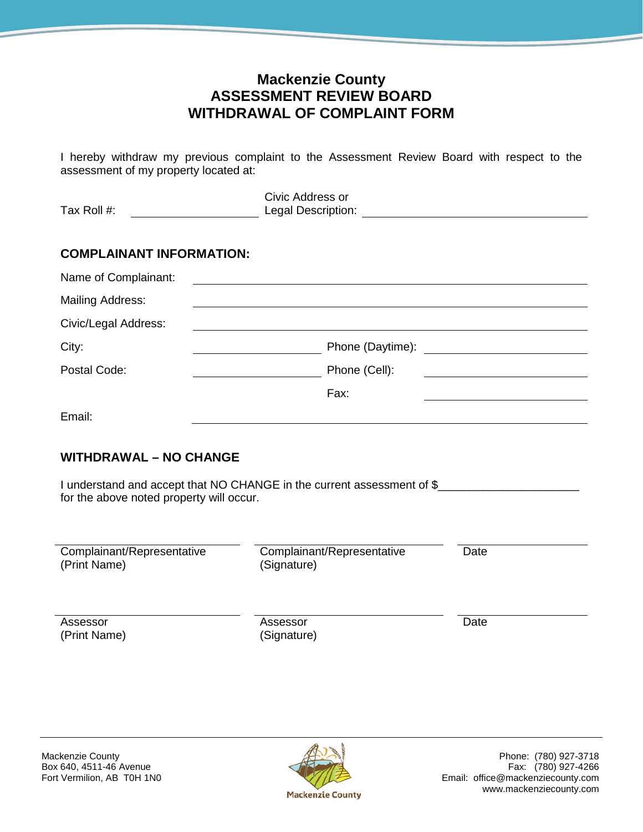## **Mackenzie County ASSESSMENT REVIEW BOARD WITHDRAWAL OF COMPLAINT FORM**

I hereby withdraw my previous complaint to the Assessment Review Board with respect to the assessment of my property located at:

| Tax Roll #:                                                                                             | Civic Address or                          |                                                                                                                        |
|---------------------------------------------------------------------------------------------------------|-------------------------------------------|------------------------------------------------------------------------------------------------------------------------|
| <b>COMPLAINANT INFORMATION:</b>                                                                         |                                           |                                                                                                                        |
| Name of Complainant:                                                                                    |                                           |                                                                                                                        |
| <b>Mailing Address:</b>                                                                                 |                                           |                                                                                                                        |
| Civic/Legal Address:                                                                                    |                                           |                                                                                                                        |
| City:                                                                                                   | Phone (Daytime):                          | <u> Alexandria de la construcción de la construcción de la construcción de la construcción de la construcción de l</u> |
| Postal Code:                                                                                            | Phone (Cell):                             |                                                                                                                        |
|                                                                                                         | Fax:                                      |                                                                                                                        |
| Email:                                                                                                  |                                           |                                                                                                                        |
| <b>WITHDRAWAL - NO CHANGE</b><br>I understand and accept that NO CHANGE in the current assessment of \$ |                                           |                                                                                                                        |
| for the above noted property will occur.                                                                |                                           |                                                                                                                        |
|                                                                                                         |                                           |                                                                                                                        |
| Complainant/Representative<br>(Print Name)                                                              | Complainant/Representative<br>(Signature) | Date                                                                                                                   |
| Assessor<br>(Print Name)                                                                                | Assessor<br>(Signature)                   | Date                                                                                                                   |